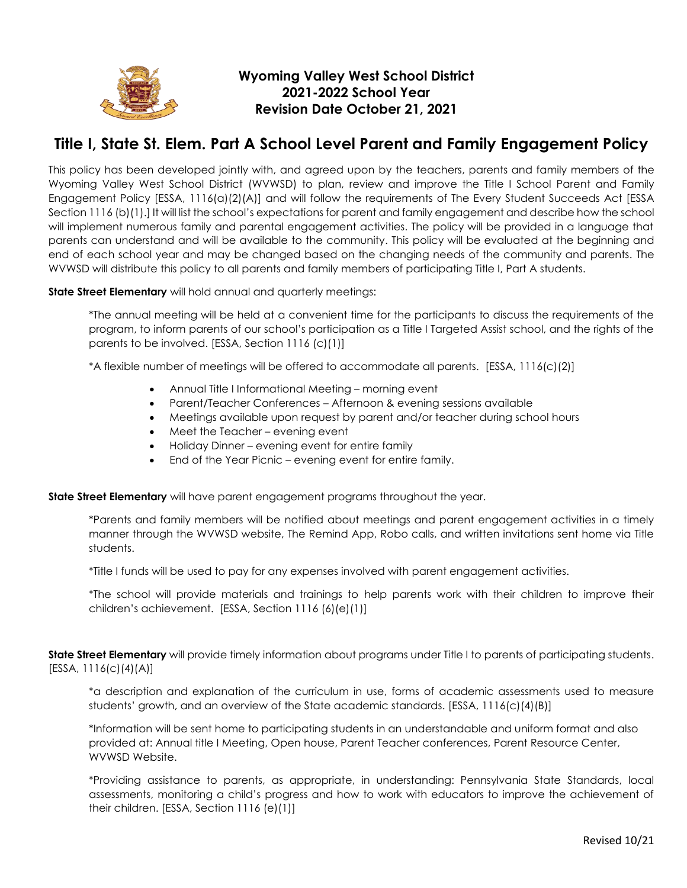

## **Wyoming Valley West School District 2021-2022 School Year Revision Date October 21, 2021**

## **Title I, State St. Elem. Part A School Level Parent and Family Engagement Policy**

This policy has been developed jointly with, and agreed upon by the teachers, parents and family members of the Wyoming Valley West School District (WVWSD) to plan, review and improve the Title I School Parent and Family Engagement Policy [ESSA, 1116(a)(2)(A)] and will follow the requirements of The Every Student Succeeds Act [ESSA Section 1116 (b)(1).] It will list the school's expectations for parent and family engagement and describe how the school will implement numerous family and parental engagement activities. The policy will be provided in a language that parents can understand and will be available to the community. This policy will be evaluated at the beginning and end of each school year and may be changed based on the changing needs of the community and parents. The WVWSD will distribute this policy to all parents and family members of participating Title I, Part A students.

**State Street Elementary** will hold annual and quarterly meetings:

\*The annual meeting will be held at a convenient time for the participants to discuss the requirements of the program, to inform parents of our school's participation as a Title I Targeted Assist school, and the rights of the parents to be involved. [ESSA, Section 1116 (c)(1)]

\*A flexible number of meetings will be offered to accommodate all parents. [ESSA, 1116(c)(2)]

- Annual Title I Informational Meeting morning event
- Parent/Teacher Conferences Afternoon & evening sessions available
- Meetings available upon request by parent and/or teacher during school hours
- Meet the Teacher evening event
- Holiday Dinner evening event for entire family
- End of the Year Picnic evening event for entire family.

**State Street Elementary** will have parent engagement programs throughout the year.

\*Parents and family members will be notified about meetings and parent engagement activities in a timely manner through the WVWSD website, The Remind App, Robo calls, and written invitations sent home via Title students.

\*Title I funds will be used to pay for any expenses involved with parent engagement activities.

\*The school will provide materials and trainings to help parents work with their children to improve their children's achievement. [ESSA, Section 1116 (6)(e)(1)]

**State Street Elementary** will provide timely information about programs under Title I to parents of participating students.  $[ESSA, 1116(c)(4)(A)]$ 

\*a description and explanation of the curriculum in use, forms of academic assessments used to measure students' growth, and an overview of the State academic standards. [ESSA, 1116(c)(4)(B)]

\*Information will be sent home to participating students in an understandable and uniform format and also provided at: Annual title I Meeting, Open house, Parent Teacher conferences, Parent Resource Center, WVWSD Website.

\*Providing assistance to parents, as appropriate, in understanding: Pennsylvania State Standards, local assessments, monitoring a child's progress and how to work with educators to improve the achievement of their children. [ESSA, Section 1116 (e)(1)]